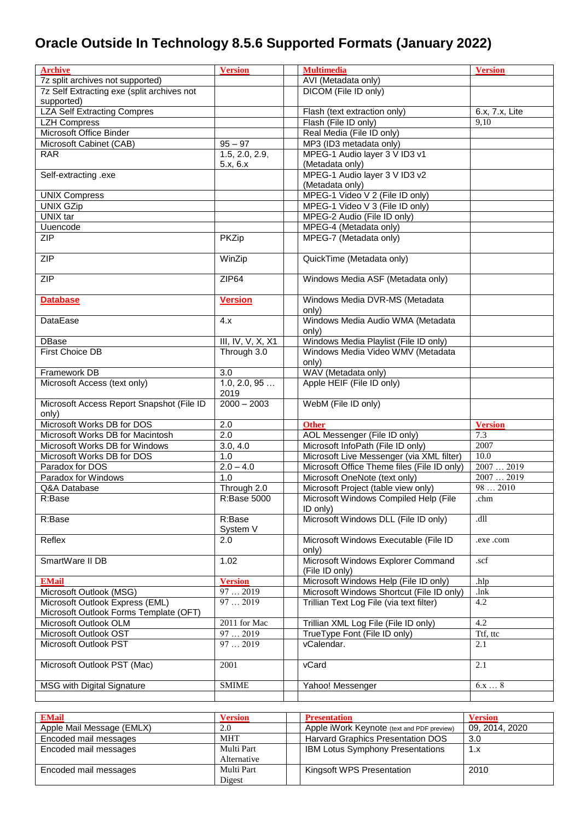## **Oracle Outside In Technology 8.5.6 Supported Formats (January 2022)**

| <b>Archive</b>                             | <b>Version</b>         | <b>Multimedia</b>                              | <b>Version</b> |
|--------------------------------------------|------------------------|------------------------------------------------|----------------|
| 7z split archives not supported)           |                        | AVI (Metadata only)                            |                |
| 7z Self Extracting exe (split archives not |                        | DICOM (File ID only)                           |                |
| supported)                                 |                        |                                                |                |
| <b>LZA Self Extracting Compres</b>         |                        | Flash (text extraction only)                   | 6.x, 7.x, Lite |
| <b>LZH Compress</b>                        |                        | Flash (File ID only)                           | 9,10           |
| Microsoft Office Binder                    |                        | Real Media (File ID only)                      |                |
| Microsoft Cabinet (CAB)                    | $95 - 97$              | MP3 (ID3 metadata only)                        |                |
| <b>RAR</b>                                 | 1.5, 2.0, 2.9,         | MPEG-1 Audio layer 3 V ID3 v1                  |                |
|                                            | 5.x, 6.x               | (Metadata only)                                |                |
| Self-extracting .exe                       |                        | MPEG-1 Audio layer 3 V ID3 v2                  |                |
|                                            |                        | (Metadata only)                                |                |
| <b>UNIX Compress</b>                       |                        | MPEG-1 Video V 2 (File ID only)                |                |
| <b>UNIX GZip</b>                           |                        | MPEG-1 Video V 3 (File ID only)                |                |
| UNIX tar                                   |                        | MPEG-2 Audio (File ID only)                    |                |
| Uuencode                                   |                        | MPEG-4 (Metadata only)                         |                |
| ZIP                                        | <b>PKZip</b>           | MPEG-7 (Metadata only)                         |                |
|                                            |                        |                                                |                |
| <b>ZIP</b>                                 | WinZip                 | QuickTime (Metadata only)                      |                |
| <b>ZIP</b>                                 | ZIP64                  | Windows Media ASF (Metadata only)              |                |
|                                            |                        |                                                |                |
| <b>Database</b>                            | <b>Version</b>         | Windows Media DVR-MS (Metadata                 |                |
|                                            |                        | only)                                          |                |
| DataEase                                   | 4.x                    | Windows Media Audio WMA (Metadata              |                |
|                                            |                        | only)                                          |                |
| DBase                                      | III, IV, V, X, X1      | Windows Media Playlist (File ID only)          |                |
| First Choice DB                            | Through 3.0            | Windows Media Video WMV (Metadata              |                |
|                                            |                        | only)                                          |                |
| Framework DB                               | 3.0                    | WAV (Metadata only)                            |                |
| Microsoft Access (text only)               | 1.0, 2.0, 95<br>2019   | Apple HEIF (File ID only)                      |                |
| Microsoft Access Report Snapshot (File ID  | $2000 - 2003$          | WebM (File ID only)                            |                |
| only)                                      |                        |                                                |                |
| Microsoft Works DB for DOS                 | 2.0                    | <b>Other</b>                                   | <b>Version</b> |
| Microsoft Works DB for Macintosh           | 2.0                    | AOL Messenger (File ID only)                   | 7.3            |
| Microsoft Works DB for Windows             | $\overline{3.0}$ , 4.0 | Microsoft InfoPath (File ID only)              | 2007           |
| Microsoft Works DB for DOS                 | 1.0                    | Microsoft Live Messenger (via XML filter)      | 10.0           |
| Paradox for DOS                            | $2.0 - 4.0$            | Microsoft Office Theme files (File ID only)    | 20072019       |
| Paradox for Windows                        | 1.0                    | Microsoft OneNote (text only)                  | 20072019       |
| Q&A Database                               | Through 2.0            | Microsoft Project (table view only)            | 982010         |
| R:Base                                     | R:Base 5000            | Microsoft Windows Compiled Help (File          | .chm           |
|                                            |                        | ID only)                                       |                |
| R:Base                                     | R:Base                 | Microsoft Windows DLL (File ID only)           | .dll           |
|                                            | System V               |                                                |                |
| Reflex                                     | 2.0                    | Microsoft Windows Executable (File ID<br>only) | .exe .com      |
| SmartWare II DB                            | 1.02                   | Microsoft Windows Explorer Command             | .scf           |
|                                            |                        | (File ID only)                                 |                |
| <b>EMail</b>                               | <b>Version</b>         | Microsoft Windows Help (File ID only)          | .hlp           |
| Microsoft Outlook (MSG)                    | 972019                 | Microsoft Windows Shortcut (File ID only)      | .lnk           |
| Microsoft Outlook Express (EML)            | 972019                 | Trillian Text Log File (via text filter)       | 4.2            |
| Microsoft Outlook Forms Template (OFT)     |                        |                                                |                |
| Microsoft Outlook OLM                      | 2011 for Mac           | Trillian XML Log File (File ID only)           | 4.2            |
| Microsoft Outlook OST                      | 972019                 | TrueType Font (File ID only)                   | Ttf, ttc       |
| Microsoft Outlook PST                      | 972019                 | vCalendar.                                     | 2.1            |
|                                            |                        |                                                |                |
| Microsoft Outlook PST (Mac)                | 2001                   | vCard                                          | 2.1            |
| MSG with Digital Signature                 | <b>SMIME</b>           | Yahoo! Messenger                               | $6.x \ldots 8$ |
|                                            |                        |                                                |                |

| <b>EMail</b>              | <b>Version</b> | <b>Presentation</b>                        | <b>Version</b> |
|---------------------------|----------------|--------------------------------------------|----------------|
| Apple Mail Message (EMLX) | 2.0            | Apple iWork Keynote (text and PDF preview) | 09, 2014, 2020 |
| Encoded mail messages     | <b>MHT</b>     | Harvard Graphics Presentation DOS          | 3.0            |
| Encoded mail messages     | Multi Part     | <b>IBM Lotus Symphony Presentations</b>    | 1.x            |
|                           | Alternative    |                                            |                |
| Encoded mail messages     | Multi Part     | Kingsoft WPS Presentation                  | 2010           |
|                           | Digest         |                                            |                |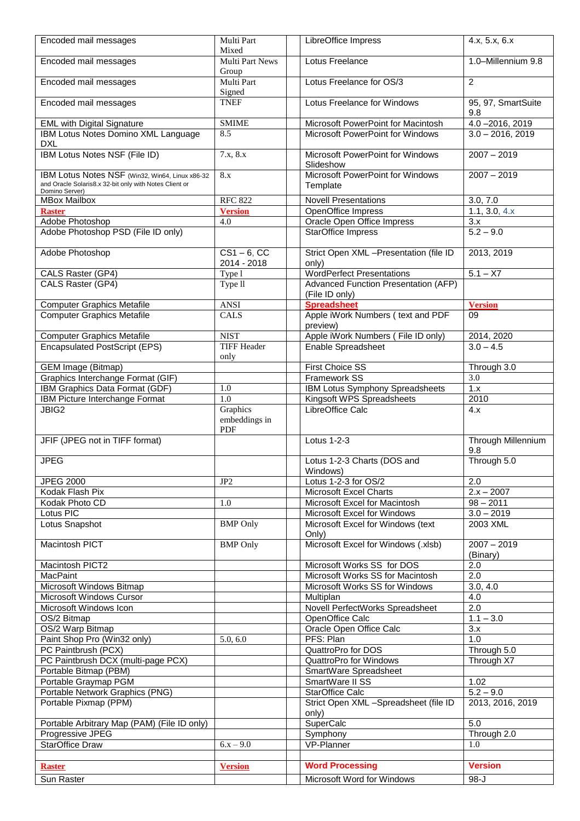| Encoded mail messages                                                                                                       | Multi Part<br>Mixed              | LibreOffice Impress                                           | 4.x, 5.x, 6.x             |
|-----------------------------------------------------------------------------------------------------------------------------|----------------------------------|---------------------------------------------------------------|---------------------------|
| Encoded mail messages                                                                                                       | <b>Multi Part News</b><br>Group  | Lotus Freelance                                               | 1.0-Millennium 9.8        |
| Encoded mail messages                                                                                                       | Multi Part<br>Signed             | Lotus Freelance for OS/3                                      | 2                         |
| Encoded mail messages                                                                                                       | <b>TNEF</b>                      | Lotus Freelance for Windows                                   | 95, 97, SmartSuite<br>9.8 |
| <b>EML with Digital Signature</b>                                                                                           | <b>SMIME</b>                     | Microsoft PowerPoint for Macintosh                            | $4.0 - 2016, 2019$        |
| IBM Lotus Notes Domino XML Language<br><b>DXL</b>                                                                           | 8.5                              | Microsoft PowerPoint for Windows                              | $3.0 - 2016, 2019$        |
| <b>IBM Lotus Notes NSF (File ID)</b>                                                                                        | 7.x, 8.x                         | Microsoft PowerPoint for Windows<br>Slideshow                 | $2007 - 2019$             |
| IBM Lotus Notes NSF (Win32, Win64, Linux x86-32<br>and Oracle Solaris8.x 32-bit only with Notes Client or<br>Domino Server) | 8.x                              | Microsoft PowerPoint for Windows<br>Template                  | $2007 - 2019$             |
| <b>MBox Mailbox</b>                                                                                                         | <b>RFC 822</b>                   | <b>Novell Presentations</b>                                   | 3.0, 7.0                  |
| <b>Raster</b>                                                                                                               | <b>Version</b>                   | OpenOffice Impress                                            | 1.1, 3.0, 4.x             |
| Adobe Photoshop                                                                                                             | 4.0                              | Oracle Open Office Impress                                    | 3.x                       |
| Adobe Photoshop PSD (File ID only)                                                                                          |                                  | <b>StarOffice Impress</b>                                     | $5.2 - 9.0$               |
| Adobe Photoshop                                                                                                             | $CS1 - 6$ , CC                   | Strict Open XML - Presentation (file ID                       | 2013, 2019                |
|                                                                                                                             | 2014 - 2018                      | only)                                                         |                           |
| CALS Raster (GP4)                                                                                                           | Type 1                           | <b>WordPerfect Presentations</b>                              | $5.1 - X7$                |
| CALS Raster (GP4)                                                                                                           | Type $\overline{11}$             | <b>Advanced Function Presentation (AFP)</b><br>(File ID only) |                           |
| <b>Computer Graphics Metafile</b>                                                                                           | <b>ANSI</b>                      | <b>Spreadsheet</b>                                            | <b>Version</b>            |
| <b>Computer Graphics Metafile</b>                                                                                           | <b>CALS</b>                      | Apple iWork Numbers (text and PDF<br>preview)                 | 09                        |
| <b>Computer Graphics Metafile</b>                                                                                           | <b>NIST</b>                      | Apple iWork Numbers (File ID only)                            | 2014, 2020                |
| <b>Encapsulated PostScript (EPS)</b>                                                                                        | <b>TIFF Header</b>               | Enable Spreadsheet                                            | $3.0 - 4.5$               |
|                                                                                                                             | only                             |                                                               |                           |
| <b>GEM Image (Bitmap)</b>                                                                                                   |                                  | <b>First Choice SS</b>                                        | Through 3.0               |
| Graphics Interchange Format (GIF)                                                                                           |                                  | <b>Framework SS</b>                                           | 3.0                       |
| IBM Graphics Data Format (GDF)                                                                                              | 1.0                              | IBM Lotus Symphony Spreadsheets                               | 1.x                       |
| IBM Picture Interchange Format                                                                                              | 1.0                              | Kingsoft WPS Spreadsheets                                     | 2010                      |
| JBIG2                                                                                                                       | Graphics<br>embeddings in<br>PDF | LibreOffice Calc                                              | 4.x                       |
| JFIF (JPEG not in TIFF format)                                                                                              |                                  | Lotus 1-2-3                                                   | Through Millennium<br>9.8 |
| <b>JPEG</b>                                                                                                                 |                                  | Lotus 1-2-3 Charts (DOS and<br>Windows)                       | Through 5.0               |
| <b>JPEG 2000</b>                                                                                                            | JP <sub>2</sub>                  | Lotus 1-2-3 for OS/2                                          | 2.0                       |
| Kodak Flash Pix                                                                                                             |                                  | Microsoft Excel Charts                                        | $2.x - 2007$              |
| Kodak Photo CD                                                                                                              | 1.0                              | Microsoft Excel for Macintosh                                 | $\frac{1}{98}$ – 2011     |
| Lotus PIC                                                                                                                   |                                  | Microsoft Excel for Windows                                   | $3.0 - 2019$              |
| Lotus Snapshot                                                                                                              | <b>BMP</b> Only                  | Microsoft Excel for Windows (text<br>Only)                    | 2003 XML                  |
| Macintosh PICT                                                                                                              | <b>BMP</b> Only                  | Microsoft Excel for Windows (.xlsb)                           | $2007 - 2019$<br>(Binary) |
| Macintosh PICT2                                                                                                             |                                  | Microsoft Works SS for DOS                                    | 2.0                       |
| <b>MacPaint</b>                                                                                                             |                                  | Microsoft Works SS for Macintosh                              | 2.0                       |
| Microsoft Windows Bitmap                                                                                                    |                                  | Microsoft Works SS for Windows                                | 3.0, 4.0                  |
| Microsoft Windows Cursor                                                                                                    |                                  | Multiplan                                                     | 4.0                       |
| Microsoft Windows Icon                                                                                                      |                                  | Novell PerfectWorks Spreadsheet                               | $\overline{2.0}$          |
| OS/2 Bitmap                                                                                                                 |                                  | OpenOffice Calc                                               | $1.1 - 3.0$               |
|                                                                                                                             |                                  |                                                               |                           |
| OS/2 Warp Bitmap                                                                                                            |                                  | Oracle Open Office Calc                                       | 3.x                       |
| Paint Shop Pro (Win32 only)                                                                                                 | 5.0, 6.0                         | PFS: Plan                                                     | 1.0                       |
| PC Paintbrush (PCX)                                                                                                         |                                  | QuattroPro for DOS                                            | Through 5.0               |
| PC Paintbrush DCX (multi-page PCX)                                                                                          |                                  | QuattroPro for Windows                                        | Through X7                |
| Portable Bitmap (PBM)                                                                                                       |                                  | SmartWare Spreadsheet                                         |                           |
| Portable Graymap PGM                                                                                                        |                                  | SmartWare II SS                                               | 1.02                      |
| Portable Network Graphics (PNG)                                                                                             |                                  | StarOffice Calc                                               | $5.2 - 9.0$               |
| Portable Pixmap (PPM)                                                                                                       |                                  | Strict Open XML -Spreadsheet (file ID<br>only)                | 2013, 2016, 2019          |
| Portable Arbitrary Map (PAM) (File ID only)                                                                                 |                                  | SuperCalc                                                     | 5.0                       |
| Progressive JPEG                                                                                                            |                                  | Symphony                                                      | Through 2.0               |
| <b>StarOffice Draw</b>                                                                                                      | $6.x - 9.0$                      | VP-Planner                                                    | 1.0                       |
|                                                                                                                             |                                  |                                                               |                           |
| <b>Raster</b>                                                                                                               | <b>Version</b>                   | <b>Word Processing</b>                                        | <b>Version</b>            |
| Sun Raster                                                                                                                  |                                  | Microsoft Word for Windows                                    | $98 - J$                  |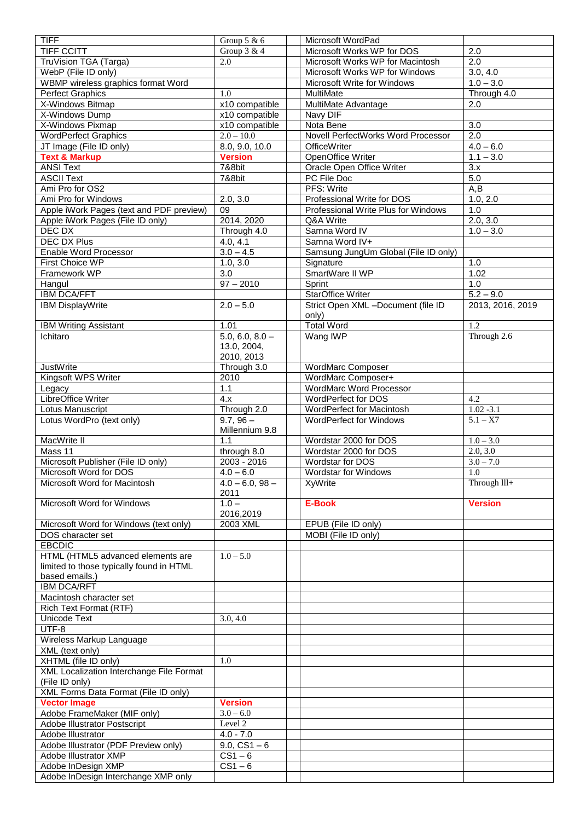| <b>TIFF</b>                              | Group 5 & 6          | Microsoft WordPad                    |                      |
|------------------------------------------|----------------------|--------------------------------------|----------------------|
| <b>TIFF CCITT</b>                        | Group $3 & 4$        | Microsoft Works WP for DOS           | 2.0                  |
| TruVision TGA (Targa)                    | 2.0                  | Microsoft Works WP for Macintosh     | 2.0                  |
| WebP (File ID only)                      |                      | Microsoft Works WP for Windows       | 3.0, 4.0             |
| WBMP wireless graphics format Word       |                      | Microsoft Write for Windows          | $1.0 - 3.0$          |
|                                          |                      |                                      |                      |
| <b>Perfect Graphics</b>                  | 1.0                  | MultiMate                            | Through 4.0          |
| X-Windows Bitmap                         | x10 compatible       | MultiMate Advantage                  | 2.0                  |
| X-Windows Dump                           | x10 compatible       | Navy DIF                             |                      |
| X-Windows Pixmap                         | x10 compatible       | Nota Bene                            | 3.0                  |
| <b>WordPerfect Graphics</b>              | $2.0 - 10.0$         | Novell PerfectWorks Word Processor   | 2.0                  |
| JT Image (File ID only)                  | 8.0, 9.0, 10.0       | <b>OfficeWriter</b>                  | $4.0 - 6.0$          |
| <b>Text &amp; Markup</b>                 | <b>Version</b>       | OpenOffice Writer                    | $1.1 - 3.0$          |
| <b>ANSI Text</b>                         | 7&8bit               | Oracle Open Office Writer            | 3.x                  |
| <b>ASCII Text</b>                        | 7&8bit               | PC File Doc                          | 5.0                  |
| Ami Pro for OS2                          |                      | PFS: Write                           | A,B                  |
| Ami Pro for Windows                      | 2.0, 3.0             | Professional Write for DOS           | 1.0, 2.0             |
|                                          | 09                   | Professional Write Plus for Windows  | 1.0                  |
| Apple iWork Pages (text and PDF preview) |                      |                                      |                      |
| Apple iWork Pages (File ID only)         | 2014, 2020           | Q&A Write                            | 2.0, 3.0             |
| DEC DX                                   | Through 4.0          | Samna Word IV                        | $1.0 - 3.0$          |
| DEC DX Plus                              | 4.0, 4.1             | Samna Word IV+                       |                      |
| Enable Word Processor                    | $3.0 - 4.5$          | Samsung JungUm Global (File ID only) |                      |
| First Choice WP                          | 1.0, 3.0             | Signature                            | 1.0                  |
| Framework WP                             | 3.0                  | SmartWare II WP                      | 1.02                 |
| Hangul                                   | $97 - 2010$          | Sprint                               | 1.0                  |
| <b>IBM DCA/FFT</b>                       |                      | <b>StarOffice Writer</b>             | $5.2 - 9.0$          |
| IBM DisplayWrite                         | $2.0 - 5.0$          | Strict Open XML -Document (file ID   | 2013, 2016, 2019     |
|                                          |                      | only)                                |                      |
|                                          | 1.01                 |                                      | 1.2                  |
| <b>IBM Writing Assistant</b>             |                      | <b>Total Word</b>                    |                      |
| Ichitaro                                 | $5.0, 6.0, 8.0 -$    | Wang IWP                             | Through 2.6          |
|                                          | 13.0, 2004,          |                                      |                      |
|                                          | 2010, 2013           |                                      |                      |
| <b>JustWrite</b>                         | Through 3.0          | <b>WordMarc Composer</b>             |                      |
| Kingsoft WPS Writer                      | 2010                 | WordMarc Composer+                   |                      |
| Legacy                                   | 1.1                  | WordMarc Word Processor              |                      |
| LibreOffice Writer                       | 4.x                  | WordPerfect for DOS                  | 4.2                  |
| Lotus Manuscript                         | Through 2.0          | WordPerfect for Macintosh            | $1.02 - 3.1$         |
| Lotus WordPro (text only)                | $9.7, 96 -$          | <b>WordPerfect for Windows</b>       | $\frac{1}{5.1 - X7}$ |
|                                          | Millennium 9.8       |                                      |                      |
|                                          |                      |                                      |                      |
| MacWrite II                              | 1.1                  | Wordstar 2000 for DOS                | $1.0 - 3.0$          |
| Mass 11                                  | through 8.0          | Wordstar 2000 for DOS                | 2.0, 3.0             |
| Microsoft Publisher (File ID only)       | 2003 - 2016          | Wordstar for DOS                     | $3.0 - 7.0$          |
| Microsoft Word for DOS                   | $4.0 - 6.0$          | <b>Wordstar for Windows</b>          | 1.0                  |
| Microsoft Word for Macintosh             | $4.0 - 6.0, 98 -$    | XyWrite                              | Through III+         |
|                                          | 2011                 |                                      |                      |
| Microsoft Word for Windows               | $1.0 -$              | E-Book                               | <b>Version</b>       |
|                                          | 2016,2019            |                                      |                      |
| Microsoft Word for Windows (text only)   | 2003 XML             | EPUB (File ID only)                  |                      |
| DOS character set                        |                      | MOBI (File ID only)                  |                      |
| <b>EBCDIC</b>                            |                      |                                      |                      |
| HTML (HTML5 advanced elements are        | $1.0 - 5.0$          |                                      |                      |
|                                          |                      |                                      |                      |
| limited to those typically found in HTML |                      |                                      |                      |
| based emails.)                           |                      |                                      |                      |
| <b>IBM DCA/RFT</b>                       |                      |                                      |                      |
| Macintosh character set                  |                      |                                      |                      |
| Rich Text Format (RTF)                   |                      |                                      |                      |
| Unicode Text                             | 3.0, 4.0             |                                      |                      |
| UTF-8                                    |                      |                                      |                      |
| Wireless Markup Language                 |                      |                                      |                      |
| XML (text only)                          |                      |                                      |                      |
| XHTML (file ID only)                     | 1.0                  |                                      |                      |
| XML Localization Interchange File Format |                      |                                      |                      |
| (File ID only)                           |                      |                                      |                      |
| XML Forms Data Format (File ID only)     |                      |                                      |                      |
|                                          |                      |                                      |                      |
| <b>Vector Image</b>                      | <b>Version</b>       |                                      |                      |
| Adobe FrameMaker (MIF only)              | $3.0 - 6.0$          |                                      |                      |
| <b>Adobe Illustrator Postscript</b>      | Level 2              |                                      |                      |
| Adobe Illustrator                        | $4.0 - 7.0$          |                                      |                      |
| Adobe Illustrator (PDF Preview only)     | $9.0, CS1 - 6$       |                                      |                      |
| Adobe Illustrator XMP                    | $\overline{CS1} - 6$ |                                      |                      |
| Adobe InDesign XMP                       | $CS1-6$              |                                      |                      |
| Adobe InDesign Interchange XMP only      |                      |                                      |                      |
|                                          |                      |                                      |                      |